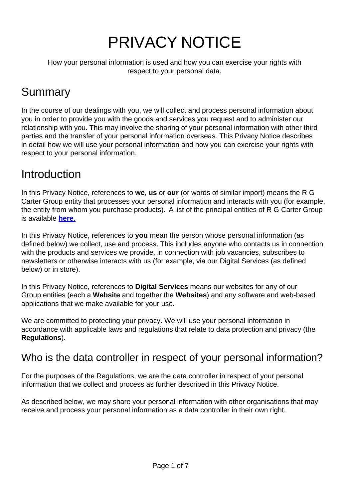# PRIVACY NOTICE

How your personal information is used and how you can exercise your rights with respect to your personal data.

# Summary

In the course of our dealings with you, we will collect and process personal information about you in order to provide you with the goods and services you request and to administer our relationship with you. This may involve the sharing of your personal information with other third parties and the transfer of your personal information overseas. This Privacy Notice describes in detail how we will use your personal information and how you can exercise your rights with respect to your personal information.

## **Introduction**

In this Privacy Notice, references to **we**, **us** or **our** (or words of similar import) means the R G Carter Group entity that processes your personal information and interacts with you (for example, the entity from whom you purchase products). A list of the principal entities of R G Carter Group is available **[here](https://www.bullenjoinery.co.uk/wp-content/uploads/2022/05/List-of-companies-2022.pdf)**.

In this Privacy Notice, references to **you** mean the person whose personal information (as defined below) we collect, use and process. This includes anyone who contacts us in connection with the products and services we provide, in connection with job vacancies, subscribes to newsletters or otherwise interacts with us (for example, via our Digital Services (as defined below) or in store).

In this Privacy Notice, references to **Digital Services** means our websites for any of our Group entities (each a **Website** and together the **Websites**) and any software and web-based applications that we make available for your use.

We are committed to protecting your privacy. We will use your personal information in accordance with applicable laws and regulations that relate to data protection and privacy (the **Regulations**).

#### Who is the data controller in respect of your personal information?

For the purposes of the Regulations, we are the data controller in respect of your personal information that we collect and process as further described in this Privacy Notice.

As described below, we may share your personal information with other organisations that may receive and process your personal information as a data controller in their own right.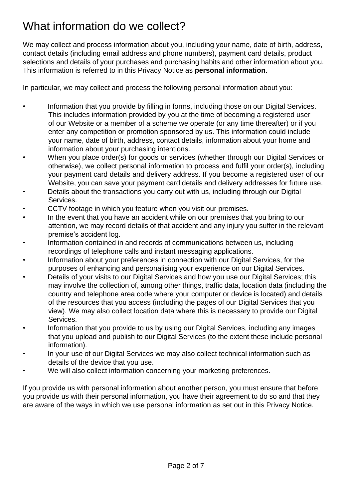## What information do we collect?

We may collect and process information about you, including your name, date of birth, address, contact details (including email address and phone numbers), payment card details, product selections and details of your purchases and purchasing habits and other information about you. This information is referred to in this Privacy Notice as **personal information**.

In particular, we may collect and process the following personal information about you:

- Information that you provide by filling in forms, including those on our Digital Services. This includes information provided by you at the time of becoming a registered user of our Website or a member of a scheme we operate (or any time thereafter) or if you enter any competition or promotion sponsored by us. This information could include your name, date of birth, address, contact details, information about your home and information about your purchasing intentions.
- When you place order(s) for goods or services (whether through our Digital Services or otherwise), we collect personal information to process and fulfil your order(s), including your payment card details and delivery address. If you become a registered user of our Website, you can save your payment card details and delivery addresses for future use.
- Details about the transactions you carry out with us, including through our Digital Services.
- CCTV footage in which you feature when you visit our premises.
- In the event that you have an accident while on our premises that you bring to our attention, we may record details of that accident and any injury you suffer in the relevant premise's accident log.
- Information contained in and records of communications between us, including recordings of telephone calls and instant messaging applications.
- Information about your preferences in connection with our Digital Services, for the purposes of enhancing and personalising your experience on our Digital Services.
- Details of your visits to our Digital Services and how you use our Digital Services; this may involve the collection of, among other things, traffic data, location data (including the country and telephone area code where your computer or device is located) and details of the resources that you access (including the pages of our Digital Services that you view). We may also collect location data where this is necessary to provide our Digital Services.
- Information that you provide to us by using our Digital Services, including any images that you upload and publish to our Digital Services (to the extent these include personal information).
- In your use of our Digital Services we may also collect technical information such as details of the device that you use.
- We will also collect information concerning your marketing preferences.

If you provide us with personal information about another person, you must ensure that before you provide us with their personal information, you have their agreement to do so and that they are aware of the ways in which we use personal information as set out in this Privacy Notice.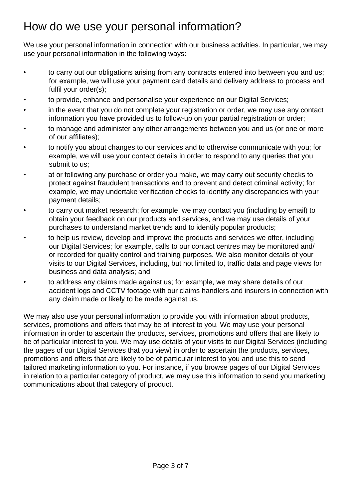## How do we use your personal information?

We use your personal information in connection with our business activities. In particular, we may use your personal information in the following ways:

- to carry out our obligations arising from any contracts entered into between you and us; for example, we will use your payment card details and delivery address to process and fulfil your order(s);
- to provide, enhance and personalise your experience on our Digital Services;
- in the event that you do not complete your registration or order, we may use any contact information you have provided us to follow-up on your partial registration or order;
- to manage and administer any other arrangements between you and us (or one or more of our affiliates);
- to notify you about changes to our services and to otherwise communicate with you; for example, we will use your contact details in order to respond to any queries that you submit to us;
- at or following any purchase or order you make, we may carry out security checks to protect against fraudulent transactions and to prevent and detect criminal activity; for example, we may undertake verification checks to identify any discrepancies with your payment details;
- to carry out market research; for example, we may contact you (including by email) to obtain your feedback on our products and services, and we may use details of your purchases to understand market trends and to identify popular products;
- to help us review, develop and improve the products and services we offer, including our Digital Services; for example, calls to our contact centres may be monitored and/ or recorded for quality control and training purposes. We also monitor details of your visits to our Digital Services, including, but not limited to, traffic data and page views for business and data analysis; and
- to address any claims made against us; for example, we may share details of our accident logs and CCTV footage with our claims handlers and insurers in connection with any claim made or likely to be made against us.

We may also use your personal information to provide you with information about products, services, promotions and offers that may be of interest to you. We may use your personal information in order to ascertain the products, services, promotions and offers that are likely to be of particular interest to you. We may use details of your visits to our Digital Services (including the pages of our Digital Services that you view) in order to ascertain the products, services, promotions and offers that are likely to be of particular interest to you and use this to send tailored marketing information to you. For instance, if you browse pages of our Digital Services in relation to a particular category of product, we may use this information to send you marketing communications about that category of product.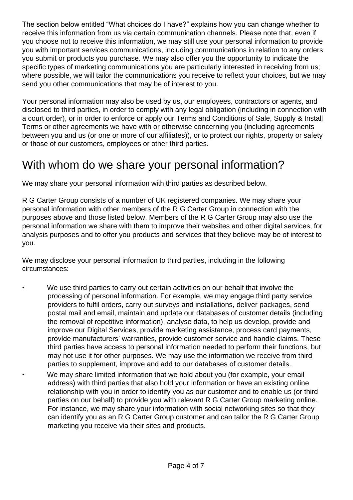The section below entitled "What choices do I have?" explains how you can change whether to receive this information from us via certain communication channels. Please note that, even if you choose not to receive this information, we may still use your personal information to provide you with important services communications, including communications in relation to any orders you submit or products you purchase. We may also offer you the opportunity to indicate the specific types of marketing communications you are particularly interested in receiving from us; where possible, we will tailor the communications you receive to reflect your choices, but we may send you other communications that may be of interest to you.

Your personal information may also be used by us, our employees, contractors or agents, and disclosed to third parties, in order to comply with any legal obligation (including in connection with a court order), or in order to enforce or apply our Terms and Conditions of Sale, Supply & Install Terms or other agreements we have with or otherwise concerning you (including agreements between you and us (or one or more of our affiliates)), or to protect our rights, property or safety or those of our customers, employees or other third parties.

#### With whom do we share your personal information?

We may share your personal information with third parties as described below.

R G Carter Group consists of a number of UK registered companies. We may share your personal information with other members of the R G Carter Group in connection with the purposes above and those listed below. Members of the R G Carter Group may also use the personal information we share with them to improve their websites and other digital services, for analysis purposes and to offer you products and services that they believe may be of interest to you.

We may disclose your personal information to third parties, including in the following circumstances:

- We use third parties to carry out certain activities on our behalf that involve the processing of personal information. For example, we may engage third party service providers to fulfil orders, carry out surveys and installations, deliver packages, send postal mail and email, maintain and update our databases of customer details (including the removal of repetitive information), analyse data, to help us develop, provide and improve our Digital Services, provide marketing assistance, process card payments, provide manufacturers' warranties, provide customer service and handle claims. These third parties have access to personal information needed to perform their functions, but may not use it for other purposes. We may use the information we receive from third parties to supplement, improve and add to our databases of customer details.
- We may share limited information that we hold about you (for example, your email address) with third parties that also hold your information or have an existing online relationship with you in order to identify you as our customer and to enable us (or third parties on our behalf) to provide you with relevant R G Carter Group marketing online. For instance, we may share your information with social networking sites so that they can identify you as an R G Carter Group customer and can tailor the R G Carter Group marketing you receive via their sites and products.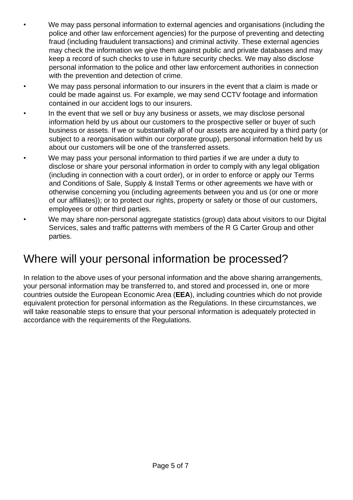- We may pass personal information to external agencies and organisations (including the police and other law enforcement agencies) for the purpose of preventing and detecting fraud (including fraudulent transactions) and criminal activity. These external agencies may check the information we give them against public and private databases and may keep a record of such checks to use in future security checks. We may also disclose personal information to the police and other law enforcement authorities in connection with the prevention and detection of crime.
- We may pass personal information to our insurers in the event that a claim is made or could be made against us. For example, we may send CCTV footage and information contained in our accident logs to our insurers.
- In the event that we sell or buy any business or assets, we may disclose personal information held by us about our customers to the prospective seller or buyer of such business or assets. If we or substantially all of our assets are acquired by a third party (or subject to a reorganisation within our corporate group), personal information held by us about our customers will be one of the transferred assets.
- We may pass your personal information to third parties if we are under a duty to disclose or share your personal information in order to comply with any legal obligation (including in connection with a court order), or in order to enforce or apply our Terms and Conditions of Sale, Supply & Install Terms or other agreements we have with or otherwise concerning you (including agreements between you and us (or one or more of our affiliates)); or to protect our rights, property or safety or those of our customers, employees or other third parties.
- We may share non-personal aggregate statistics (group) data about visitors to our Digital Services, sales and traffic patterns with members of the R G Carter Group and other parties.

#### Where will your personal information be processed?

In relation to the above uses of your personal information and the above sharing arrangements, your personal information may be transferred to, and stored and processed in, one or more countries outside the European Economic Area (**EEA**), including countries which do not provide equivalent protection for personal information as the Regulations. In these circumstances, we will take reasonable steps to ensure that your personal information is adequately protected in accordance with the requirements of the Regulations.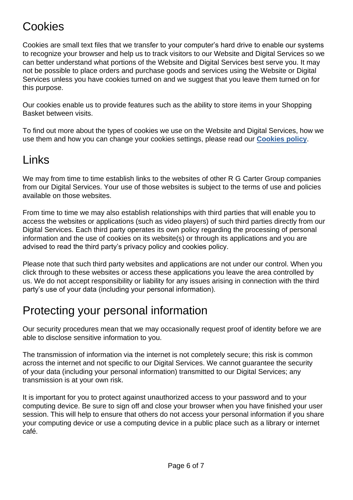#### Cookies

Cookies are small text files that we transfer to your computer's hard drive to enable our systems to recognize your browser and help us to track visitors to our Website and Digital Services so we can better understand what portions of the Website and Digital Services best serve you. It may not be possible to place orders and purchase goods and services using the Website or Digital Services unless you have cookies turned on and we suggest that you leave them turned on for this purpose.

Our cookies enable us to provide features such as the ability to store items in your Shopping Basket between visits.

To find out more about the types of cookies we use on the Website and Digital Services, how we use them and how you can change your cookies settings, please read our **[Cookies policy](https://www.bullenjoinery.co.uk/wp-content/uploads/2020/02/Website-Cookie-Policy-Bullen-Joinery.pdf)**.

### Links

We may from time to time establish links to the websites of other R G Carter Group companies from our Digital Services. Your use of those websites is subject to the terms of use and policies available on those websites.

From time to time we may also establish relationships with third parties that will enable you to access the websites or applications (such as video players) of such third parties directly from our Digital Services. Each third party operates its own policy regarding the processing of personal information and the use of cookies on its website(s) or through its applications and you are advised to read the third party's privacy policy and cookies policy.

Please note that such third party websites and applications are not under our control. When you click through to these websites or access these applications you leave the area controlled by us. We do not accept responsibility or liability for any issues arising in connection with the third party's use of your data (including your personal information).

## Protecting your personal information

Our security procedures mean that we may occasionally request proof of identity before we are able to disclose sensitive information to you.

The transmission of information via the internet is not completely secure; this risk is common across the internet and not specific to our Digital Services. We cannot guarantee the security of your data (including your personal information) transmitted to our Digital Services; any transmission is at your own risk.

It is important for you to protect against unauthorized access to your password and to your computing device. Be sure to sign off and close your browser when you have finished your user session. This will help to ensure that others do not access your personal information if you share your computing device or use a computing device in a public place such as a library or internet café.